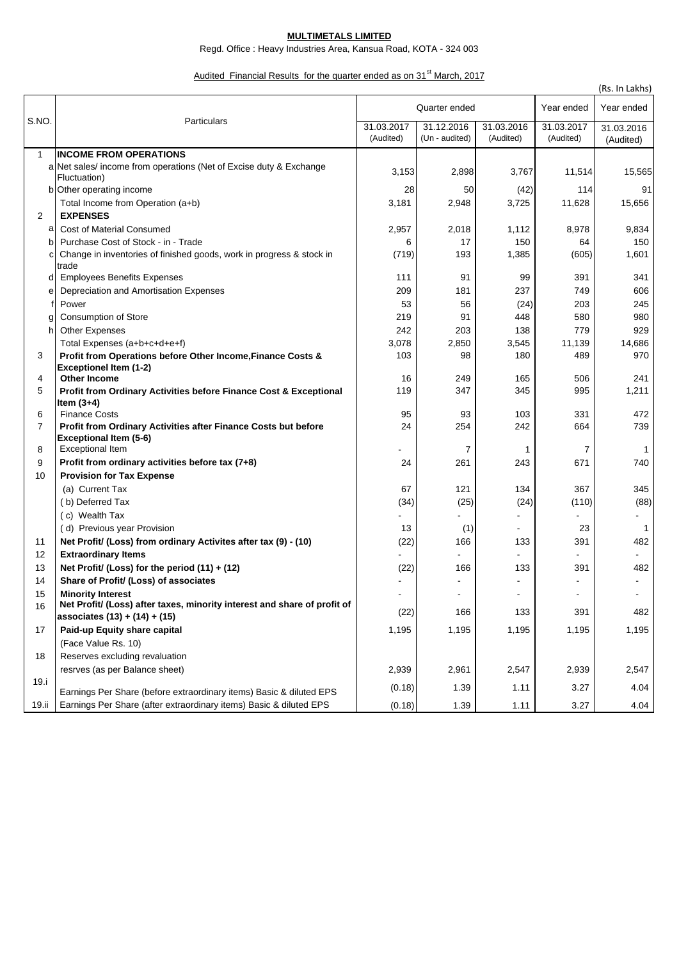## **MULTIMETALS LIMITED**

Regd. Office : Heavy Industries Area, Kansua Road, KOTA - 324 003

## Audited Financial Results for the quarter ended as on 31<sup>st</sup> March, 2017

|                     |                                                                                        |                         |                              |                         |                              | (Rs. In Lakhs)          |
|---------------------|----------------------------------------------------------------------------------------|-------------------------|------------------------------|-------------------------|------------------------------|-------------------------|
| S.NO.               | Particulars                                                                            | Quarter ended           |                              |                         | Year ended                   | Year ended              |
|                     |                                                                                        | 31.03.2017<br>(Audited) | 31.12.2016<br>(Un - audited) | 31.03.2016<br>(Audited) | 31.03.2017<br>(Audited)      | 31.03.2016<br>(Audited) |
| $\mathbf{1}$        | <b>INCOME FROM OPERATIONS</b>                                                          |                         |                              |                         |                              |                         |
|                     | a Net sales/ income from operations (Net of Excise duty & Exchange                     | 3,153                   | 2,898                        | 3,767                   | 11,514                       | 15,565                  |
|                     | Fluctuation)                                                                           |                         |                              |                         |                              |                         |
|                     | b Other operating income                                                               | 28                      | 50                           | (42)                    | 114                          | 91                      |
|                     | Total Income from Operation (a+b)                                                      | 3,181                   | 2,948                        | 3,725                   | 11,628                       | 15,656                  |
| $\overline{2}$      | <b>EXPENSES</b>                                                                        |                         |                              |                         |                              |                         |
| а                   | <b>Cost of Material Consumed</b>                                                       | 2,957                   | 2,018                        | 1,112                   | 8,978                        | 9,834                   |
| b                   | Purchase Cost of Stock - in - Trade                                                    | 6                       | 17                           | 150                     | 64                           | 150                     |
|                     | Change in inventories of finished goods, work in progress & stock in<br>trade          | (719)                   | 193                          | 1,385                   | (605)                        | 1,601                   |
| d                   | <b>Employees Benefits Expenses</b>                                                     | 111                     | 91                           | 99                      | 391                          | 341                     |
| е                   | Depreciation and Amortisation Expenses                                                 | 209                     | 181                          | 237                     | 749                          | 606                     |
|                     | Power                                                                                  | 53                      | 56                           | (24)                    | 203                          | 245                     |
|                     | Consumption of Store                                                                   | 219                     | 91                           | 448                     | 580                          | 980                     |
| h                   | <b>Other Expenses</b>                                                                  | 242                     | 203                          | 138                     | 779                          | 929                     |
|                     | Total Expenses (a+b+c+d+e+f)                                                           | 3,078                   | 2,850                        | 3,545                   | 11,139                       | 14,686                  |
| 3                   | Profit from Operations before Other Income, Finance Costs &                            | 103                     | 98                           | 180                     | 489                          | 970                     |
|                     | <b>Exceptionel Item (1-2)</b>                                                          |                         |                              |                         |                              |                         |
| 4                   | <b>Other Income</b>                                                                    | 16                      | 249                          | 165                     | 506                          | 241                     |
| 5                   | Profit from Ordinary Activities before Finance Cost & Exceptional                      | 119                     | 347                          | 345                     | 995                          | 1,211                   |
|                     | Item $(3+4)$                                                                           |                         |                              |                         |                              |                         |
| 6<br>$\overline{7}$ | <b>Finance Costs</b><br>Profit from Ordinary Activities after Finance Costs but before | 95<br>24                | 93<br>254                    | 103<br>242              | 331<br>664                   | 472<br>739              |
| 8                   | Exceptional Item (5-6)<br><b>Exceptional Item</b>                                      |                         | 7                            | 1                       | 7                            | $\mathbf{1}$            |
| 9                   | Profit from ordinary activities before tax (7+8)                                       | 24                      | 261                          | 243                     | 671                          | 740                     |
| 10                  | <b>Provision for Tax Expense</b>                                                       |                         |                              |                         |                              |                         |
|                     | (a) Current Tax                                                                        | 67                      | 121                          | 134                     | 367                          | 345                     |
|                     | (b) Deferred Tax                                                                       | (34)                    | (25)                         | (24)                    | (110)                        | (88)                    |
|                     | (c) Wealth Tax                                                                         |                         |                              |                         |                              |                         |
|                     | (d) Previous year Provision                                                            | 13                      | (1)                          |                         | 23                           | $\mathbf{1}$            |
| 11                  | Net Profit/ (Loss) from ordinary Activites after tax (9) - (10)                        | (22)                    | 166                          | 133                     | 391                          | 482                     |
| 12                  | <b>Extraordinary Items</b>                                                             |                         |                              |                         |                              |                         |
| 13                  | Net Profit/ (Loss) for the period $(11) + (12)$                                        | (22)                    | 166                          | 133                     | 391                          | 482                     |
| 14                  | Share of Profit/ (Loss) of associates                                                  |                         |                              |                         |                              |                         |
| 15                  | <b>Minority Interest</b>                                                               |                         | $\blacksquare$               |                         | $\qquad \qquad \blacksquare$ |                         |
| 16                  | Net Profit/ (Loss) after taxes, minority interest and share of profit of               |                         |                              |                         |                              |                         |
|                     | associates (13) + (14) + (15)                                                          | (22)                    | 166                          | 133                     | 391                          | 482                     |
| 17                  | Paid-up Equity share capital                                                           | 1,195                   | 1,195                        | 1,195                   | 1,195                        | 1,195                   |
|                     | (Face Value Rs. 10)                                                                    |                         |                              |                         |                              |                         |
| 18                  | Reserves excluding revaluation                                                         |                         |                              |                         |                              |                         |
|                     | resrves (as per Balance sheet)                                                         | 2,939                   | 2,961                        | 2,547                   | 2,939                        | 2,547                   |
| 19.i                | Earnings Per Share (before extraordinary items) Basic & diluted EPS                    | (0.18)                  | 1.39                         | 1.11                    | 3.27                         | 4.04                    |
| 19.ii               | Earnings Per Share (after extraordinary items) Basic & diluted EPS                     | (0.18)                  | 1.39                         | 1.11                    | 3.27                         | 4.04                    |